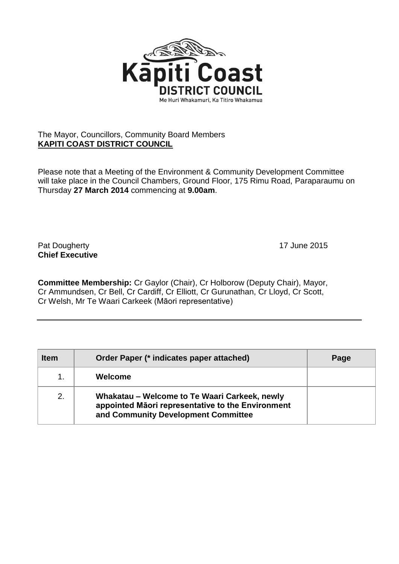

## The Mayor, Councillors, Community Board Members **KAPITI COAST DISTRICT COUNCIL**

Please note that a Meeting of the Environment & Community Development Committee will take place in the Council Chambers, Ground Floor, 175 Rimu Road, Paraparaumu on Thursday **27 March 2014** commencing at **9.00am**.

Pat Dougherty **17** June 2015 **Chief Executive**

**Committee Membership:** Cr Gaylor (Chair), Cr Holborow (Deputy Chair), Mayor, Cr Ammundsen, Cr Bell, Cr Cardiff, Cr Elliott, Cr Gurunathan, Cr Lloyd, Cr Scott, Cr Welsh, Mr Te Waari Carkeek (Māori representative)

| <b>Item</b> | Order Paper (* indicates paper attached)                                                                                                  | Page |
|-------------|-------------------------------------------------------------------------------------------------------------------------------------------|------|
|             | Welcome                                                                                                                                   |      |
| 2.          | Whakatau – Welcome to Te Waari Carkeek, newly<br>appointed Māori representative to the Environment<br>and Community Development Committee |      |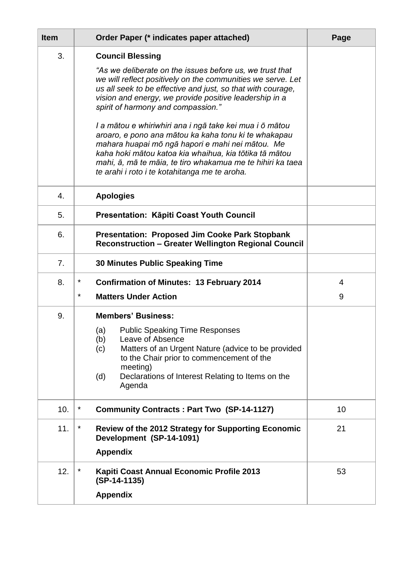| <b>Item</b> | Order Paper (* indicates paper attached)                                                                                                                                                                                                                                                                                                                                                                                                                                                                                                                                                                                                                          | Page           |
|-------------|-------------------------------------------------------------------------------------------------------------------------------------------------------------------------------------------------------------------------------------------------------------------------------------------------------------------------------------------------------------------------------------------------------------------------------------------------------------------------------------------------------------------------------------------------------------------------------------------------------------------------------------------------------------------|----------------|
| 3.          | <b>Council Blessing</b><br>"As we deliberate on the issues before us, we trust that<br>we will reflect positively on the communities we serve. Let<br>us all seek to be effective and just, so that with courage,<br>vision and energy, we provide positive leadership in a<br>spirit of harmony and compassion."<br>I a mātou e whiriwhiri ana i ngā take kei mua i ō mātou<br>aroaro, e pono ana mātou ka kaha tonu ki te whakapau<br>mahara huapai mō ngā hapori e mahi nei mātou. Me<br>kaha hoki mātou katoa kia whaihua, kia tōtika tā mātou<br>mahi, ā, mā te māia, te tiro whakamua me te hihiri ka taea<br>te arahi i roto i te kotahitanga me te aroha. |                |
| 4.          | <b>Apologies</b>                                                                                                                                                                                                                                                                                                                                                                                                                                                                                                                                                                                                                                                  |                |
| 5.          | Presentation: Kāpiti Coast Youth Council                                                                                                                                                                                                                                                                                                                                                                                                                                                                                                                                                                                                                          |                |
| 6.          | <b>Presentation: Proposed Jim Cooke Park Stopbank</b><br><b>Reconstruction - Greater Wellington Regional Council</b>                                                                                                                                                                                                                                                                                                                                                                                                                                                                                                                                              |                |
| 7.          | <b>30 Minutes Public Speaking Time</b>                                                                                                                                                                                                                                                                                                                                                                                                                                                                                                                                                                                                                            |                |
| 8.          | *<br><b>Confirmation of Minutes: 13 February 2014</b>                                                                                                                                                                                                                                                                                                                                                                                                                                                                                                                                                                                                             | $\overline{4}$ |
|             | *<br><b>Matters Under Action</b>                                                                                                                                                                                                                                                                                                                                                                                                                                                                                                                                                                                                                                  | 9              |
| 9.          | <b>Members' Business:</b><br>(a) Public Speaking Time Responses<br>(b)<br>Leave of Absence<br>Matters of an Urgent Nature (advice to be provided<br>(c)<br>to the Chair prior to commencement of the<br>meeting)<br>Declarations of Interest Relating to Items on the<br>(d)<br>Agenda                                                                                                                                                                                                                                                                                                                                                                            |                |
| 10.         | *<br><b>Community Contracts: Part Two (SP-14-1127)</b>                                                                                                                                                                                                                                                                                                                                                                                                                                                                                                                                                                                                            | 10             |
| 11.         | *<br>Review of the 2012 Strategy for Supporting Economic<br>Development (SP-14-1091)<br><b>Appendix</b>                                                                                                                                                                                                                                                                                                                                                                                                                                                                                                                                                           | 21             |
| 12.         | *<br>Kapiti Coast Annual Economic Profile 2013<br>$(SP-14-1135)$<br><b>Appendix</b>                                                                                                                                                                                                                                                                                                                                                                                                                                                                                                                                                                               | 53             |